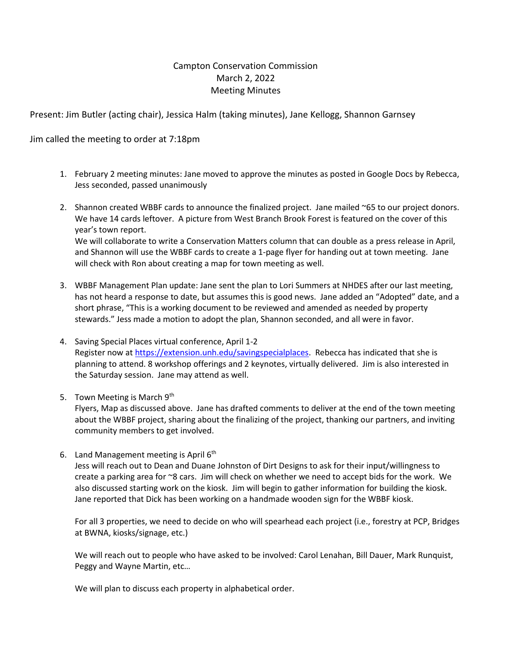## Campton Conservation Commission March 2, 2022 Meeting Minutes

Present: Jim Butler (acting chair), Jessica Halm (taking minutes), Jane Kellogg, Shannon Garnsey

Jim called the meeting to order at 7:18pm

- 1. February 2 meeting minutes: Jane moved to approve the minutes as posted in Google Docs by Rebecca, Jess seconded, passed unanimously
- 2. Shannon created WBBF cards to announce the finalized project. Jane mailed ~65 to our project donors. We have 14 cards leftover. A picture from West Branch Brook Forest is featured on the cover of this year's town report. We will collaborate to write a Conservation Matters column that can double as a press release in April, and Shannon will use the WBBF cards to create a 1-page flyer for handing out at town meeting. Jane will check with Ron about creating a map for town meeting as well.
- 3. WBBF Management Plan update: Jane sent the plan to Lori Summers at NHDES after our last meeting, has not heard a response to date, but assumes this is good news. Jane added an "Adopted" date, and a short phrase, "This is a working document to be reviewed and amended as needed by property stewards." Jess made a motion to adopt the plan, Shannon seconded, and all were in favor.
- 4. Saving Special Places virtual conference, April 1-2 Register now at [https://extension.unh.edu/savingspecialplaces.](https://extension.unh.edu/savingspecialplaces) Rebecca has indicated that she is planning to attend. 8 workshop offerings and 2 keynotes, virtually delivered. Jim is also interested in the Saturday session. Jane may attend as well.
- 5. Town Meeting is March 9th

Flyers, Map as discussed above. Jane has drafted comments to deliver at the end of the town meeting about the WBBF project, sharing about the finalizing of the project, thanking our partners, and inviting community members to get involved.

6. Land Management meeting is April  $6<sup>th</sup>$ 

Jess will reach out to Dean and Duane Johnston of Dirt Designs to ask for their input/willingness to create a parking area for ~8 cars. Jim will check on whether we need to accept bids for the work. We also discussed starting work on the kiosk. Jim will begin to gather information for building the kiosk. Jane reported that Dick has been working on a handmade wooden sign for the WBBF kiosk.

For all 3 properties, we need to decide on who will spearhead each project (i.e., forestry at PCP, Bridges at BWNA, kiosks/signage, etc.)

We will reach out to people who have asked to be involved: Carol Lenahan, Bill Dauer, Mark Runquist, Peggy and Wayne Martin, etc…

We will plan to discuss each property in alphabetical order.